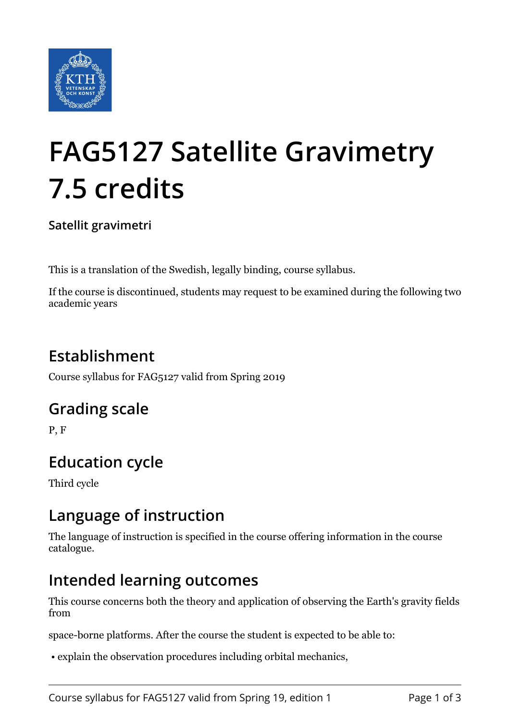

# **FAG5127 Satellite Gravimetry 7.5 credits**

**Satellit gravimetri**

This is a translation of the Swedish, legally binding, course syllabus.

If the course is discontinued, students may request to be examined during the following two academic years

## **Establishment**

Course syllabus for FAG5127 valid from Spring 2019

#### **Grading scale**

P, F

## **Education cycle**

Third cycle

#### **Language of instruction**

The language of instruction is specified in the course offering information in the course catalogue.

#### **Intended learning outcomes**

This course concerns both the theory and application of observing the Earth's gravity fields from

space-borne platforms. After the course the student is expected to be able to:

• explain the observation procedures including orbital mechanics,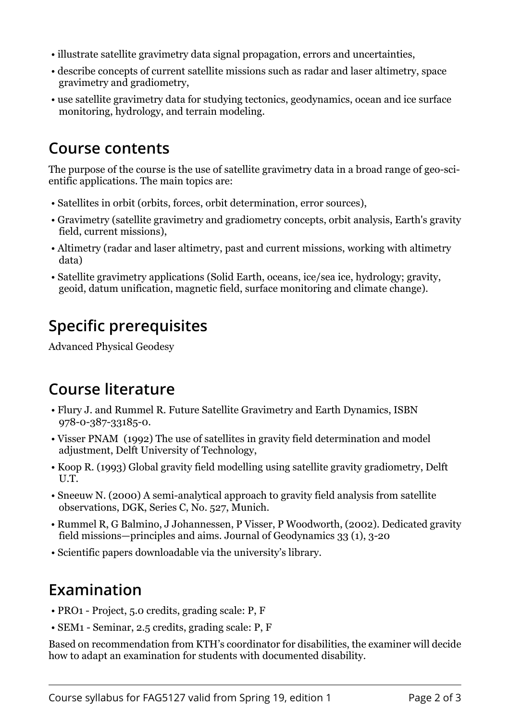- illustrate satellite gravimetry data signal propagation, errors and uncertainties,
- describe concepts of current satellite missions such as radar and laser altimetry, space gravimetry and gradiometry,
- use satellite gravimetry data for studying tectonics, geodynamics, ocean and ice surface monitoring, hydrology, and terrain modeling.

#### **Course contents**

The purpose of the course is the use of satellite gravimetry data in a broad range of geo-scientific applications. The main topics are:

- Satellites in orbit (orbits, forces, orbit determination, error sources),
- Gravimetry (satellite gravimetry and gradiometry concepts, orbit analysis, Earth's gravity field, current missions),
- Altimetry (radar and laser altimetry, past and current missions, working with altimetry data)
- Satellite gravimetry applications (Solid Earth, oceans, ice/sea ice, hydrology; gravity, geoid, datum unification, magnetic field, surface monitoring and climate change).

# **Specific prerequisites**

Advanced Physical Geodesy

## **Course literature**

- Flury J. and Rummel R. Future Satellite Gravimetry and Earth Dynamics, ISBN 978-0-387-33185-0.
- Visser PNAM (1992) The use of satellites in gravity field determination and model adjustment, Delft University of Technology,
- Koop R. (1993) Global gravity field modelling using satellite gravity gradiometry, Delft U.T.
- Sneeuw N. (2000) A semi-analytical approach to gravity field analysis from satellite observations, DGK, Series C, No. 527, Munich.
- Rummel R, G Balmino, J Johannessen, P Visser, P Woodworth, (2002). Dedicated gravity field missions—principles and aims. Journal of Geodynamics 33 (1), 3-20
- Scientific papers downloadable via the university's library.

# **Examination**

- PRO1 Project, 5.0 credits, grading scale: P, F
- SEM1 Seminar, 2.5 credits, grading scale: P, F

Based on recommendation from KTH's coordinator for disabilities, the examiner will decide how to adapt an examination for students with documented disability.